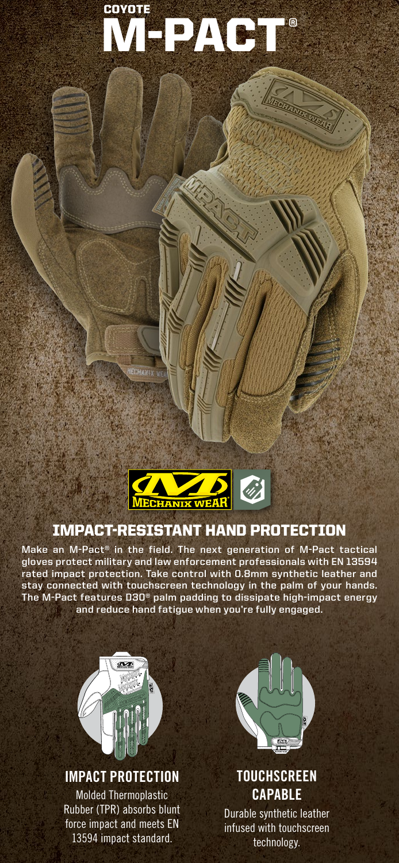# COYOTE DACT<sup>®</sup>

VIBORIATIVE VIBORI



ECHANIX

# IMPACT-RESISTANT HAND PROTECTION

**Make an M-Pact® in the field. The next generation of M-Pact tactical gloves protect military and law enforcement professionals with EN 13594 rated impact protection. Take control with 0.8mm synthetic leather and stay connected with touchscreen technology in the palm of your hands. The M-Pact features D3O® palm padding to dissipate high-impact energy and reduce hand fatigue when you're fully engaged.**



## **IMPACT PROTECTION**

Molded Thermoplastic Rubber (TPR) absorbs blunt force impact and meets EN 13594 impact standard.



# **TOUCHSCREEN CAPABLE**

Durable synthetic leather infused with touchscreen technology.